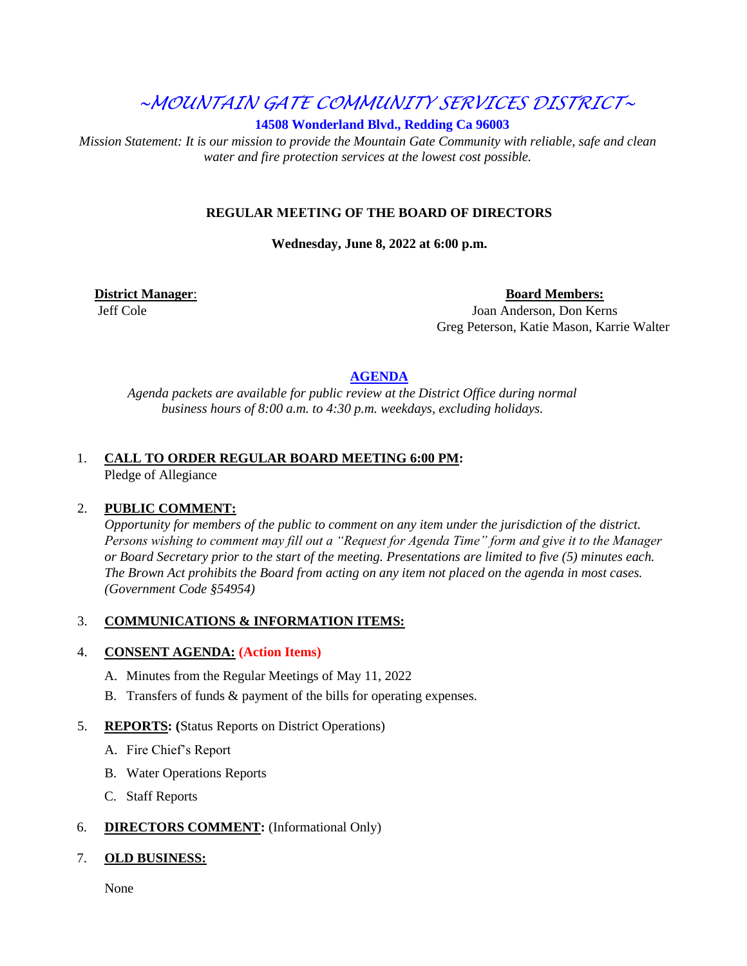# *~MOUNTAIN GATE COMMUNITY SERVICES DISTRICT~*

**14508 Wonderland Blvd., Redding Ca 96003** 

*Mission Statement: It is our mission to provide the Mountain Gate Community with reliable, safe and clean water and fire protection services at the lowest cost possible.* 

#### **REGULAR MEETING OF THE BOARD OF DIRECTORS**

**Wednesday, June 8, 2022 at 6:00 p.m.** 

**District Manager: Board Members: Board Members: Board Members: Board Members:** 

 Jeff Cole Joan Anderson, Don Kerns Greg Peterson, Katie Mason, Karrie Walter

### **AGENDA**

*Agenda packets are available for public review at the District Office during normal business hours of 8:00 a.m. to 4:30 p.m. weekdays, excluding holidays.*

## 1. **CALL TO ORDER REGULAR BOARD MEETING 6:00 PM:**

Pledge of Allegiance

#### 2. **PUBLIC COMMENT:**

*Opportunity for members of the public to comment on any item under the jurisdiction of the district. Persons wishing to comment may fill out a "Request for Agenda Time" form and give it to the Manager or Board Secretary prior to the start of the meeting. Presentations are limited to five (5) minutes each. The Brown Act prohibits the Board from acting on any item not placed on the agenda in most cases. (Government Code §54954)*

## 3. **COMMUNICATIONS & INFORMATION ITEMS:**

#### 4. **CONSENT AGENDA: (Action Items)**

- A. Minutes from the Regular Meetings of May 11, 2022
- B. Transfers of funds & payment of the bills for operating expenses.

#### 5. **REPORTS: (**Status Reports on District Operations)

- A. Fire Chief's Report
- B. Water Operations Reports
- C. Staff Reports

#### 6. **DIRECTORS COMMENT:** (Informational Only)

#### 7. **OLD BUSINESS:**

None